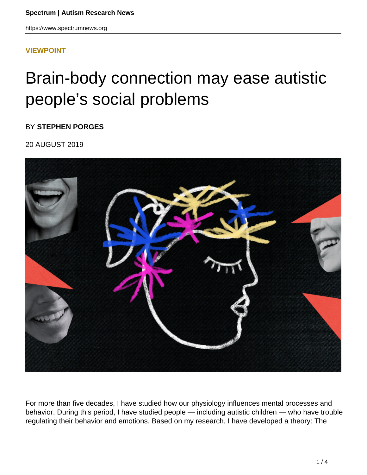### **[VIEWPOINT](HTTPS://WWW.SPECTRUMNEWS.ORG/OPINION/VIEWPOINT/)**

# Brain-body connection may ease autistic people's social problems

BY **STEPHEN PORGES**

20 AUGUST 2019



For more than five decades, I have studied how our physiology influences mental processes and behavior. During this period, I have studied people — including autistic children — who have trouble regulating their behavior and emotions. Based on my research, I have developed a theory: The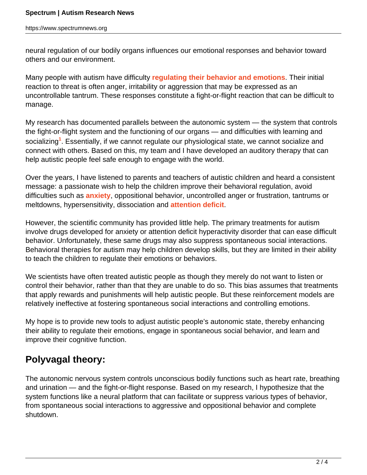neural regulation of our bodily organs influences our emotional responses and behavior toward others and our environment.

Many people with autism have difficulty **[regulating their behavior and emotions](https://www.spectrumnews.org/opinion/for-autistic-children-emotional-problems-may-hinder-social-success/)**. Their initial reaction to threat is often anger, irritability or aggression that may be expressed as an uncontrollable tantrum. These responses constitute a fight-or-flight reaction that can be difficult to manage.

My research has documented parallels between the autonomic system — the system that controls the fight-or-flight system and the functioning of our organs — and difficulties with learning and socializing**<sup>1</sup>** . Essentially, if we cannot regulate our physiological state, we cannot socialize and connect with others. Based on this, my team and I have developed an auditory therapy that can help autistic people feel safe enough to engage with the world.

Over the years, I have listened to parents and teachers of autistic children and heard a consistent message: a passionate wish to help the children improve their behavioral regulation, avoid difficulties such as **[anxiety](https://www.spectrumnews.org/features/deep-dive/unmasking-anxiety-autism/)**, oppositional behavior, uncontrolled anger or frustration, tantrums or meltdowns, hypersensitivity, dissociation and **[attention deficit](https://www.spectrumnews.org/features/deep-dive/decoding-overlap-autism-adhd/)**.

However, the scientific community has provided little help. The primary treatments for autism involve drugs developed for anxiety or attention deficit hyperactivity disorder that can ease difficult behavior. Unfortunately, these same drugs may also suppress spontaneous social interactions. Behavioral therapies for autism may help children develop skills, but they are limited in their ability to teach the children to regulate their emotions or behaviors.

We scientists have often treated autistic people as though they merely do not want to listen or control their behavior, rather than that they are unable to do so. This bias assumes that treatments that apply rewards and punishments will help autistic people. But these reinforcement models are relatively ineffective at fostering spontaneous social interactions and controlling emotions.

My hope is to provide new tools to adjust autistic people's autonomic state, thereby enhancing their ability to regulate their emotions, engage in spontaneous social behavior, and learn and improve their cognitive function.

## **Polyvagal theory:**

The autonomic nervous system controls unconscious bodily functions such as heart rate, breathing and urination — and the fight-or-flight response. Based on my research, I hypothesize that the system functions like a neural platform that can facilitate or suppress various types of behavior, from spontaneous social interactions to aggressive and oppositional behavior and complete shutdown.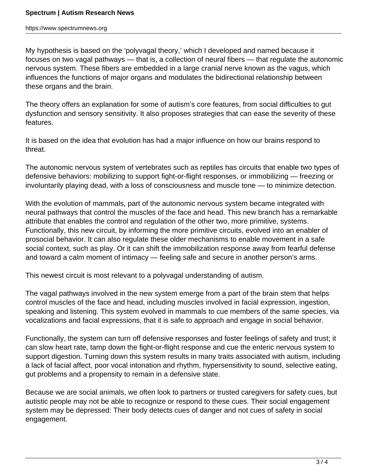https://www.spectrumnews.org

My hypothesis is based on the 'polyvagal theory,' which I developed and named because it focuses on two vagal pathways — that is, a collection of neural fibers — that regulate the autonomic nervous system. These fibers are embedded in a large cranial nerve known as the vagus, which influences the functions of major organs and modulates the bidirectional relationship between these organs and the brain.

The theory offers an explanation for some of autism's core features, from social difficulties to gut dysfunction and sensory sensitivity. It also proposes strategies that can ease the severity of these features.

It is based on the idea that evolution has had a major influence on how our brains respond to threat.

The autonomic nervous system of vertebrates such as reptiles has circuits that enable two types of defensive behaviors: mobilizing to support fight-or-flight responses, or immobilizing — freezing or involuntarily playing dead, with a loss of consciousness and muscle tone — to minimize detection.

With the evolution of mammals, part of the autonomic nervous system became integrated with neural pathways that control the muscles of the face and head. This new branch has a remarkable attribute that enables the control and regulation of the other two, more primitive, systems. Functionally, this new circuit, by informing the more primitive circuits, evolved into an enabler of prosocial behavior. It can also regulate these older mechanisms to enable movement in a safe social context, such as play. Or it can shift the immobilization response away from fearful defense and toward a calm moment of intimacy — feeling safe and secure in another person's arms.

This newest circuit is most relevant to a polyvagal understanding of autism.

The vagal pathways involved in the new system emerge from a part of the brain stem that helps control muscles of the face and head, including muscles involved in facial expression, ingestion, speaking and listening. This system evolved in mammals to cue members of the same species, via vocalizations and facial expressions, that it is safe to approach and engage in social behavior.

Functionally, the system can turn off defensive responses and foster feelings of safety and trust; it can slow heart rate, tamp down the fight-or-flight response and cue the enteric nervous system to support digestion. Turning down this system results in many traits associated with autism, including a lack of facial affect, poor vocal intonation and rhythm, hypersensitivity to sound, selective eating, gut problems and a propensity to remain in a defensive state.

Because we are social animals, we often look to partners or trusted caregivers for safety cues, but autistic people may not be able to recognize or respond to these cues. Their social engagement system may be depressed: Their body detects cues of danger and not cues of safety in social engagement.